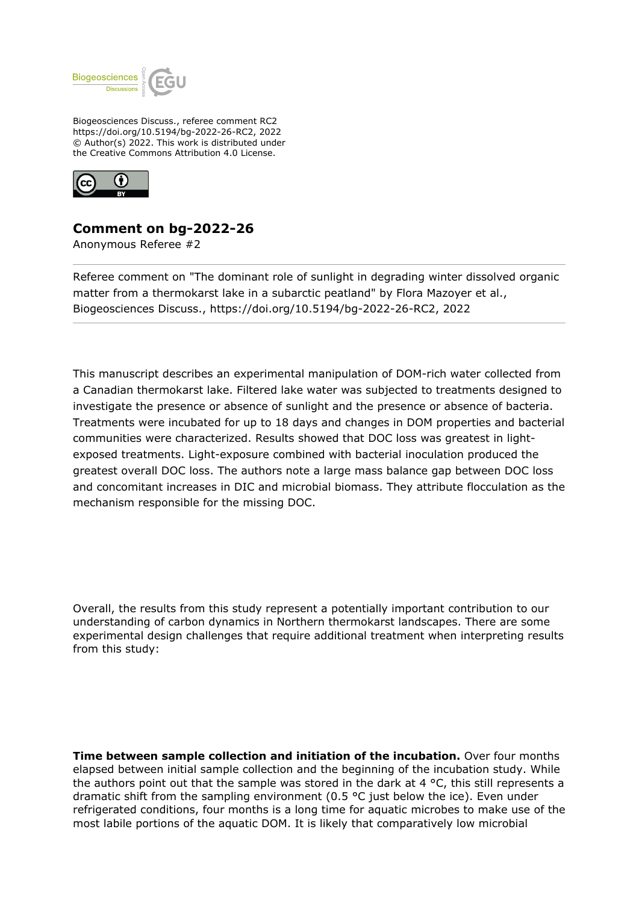

Biogeosciences Discuss., referee comment RC2 https://doi.org/10.5194/bg-2022-26-RC2, 2022 © Author(s) 2022. This work is distributed under the Creative Commons Attribution 4.0 License.



## **Comment on bg-2022-26**

Anonymous Referee #2

Referee comment on "The dominant role of sunlight in degrading winter dissolved organic matter from a thermokarst lake in a subarctic peatland" by Flora Mazoyer et al., Biogeosciences Discuss., https://doi.org/10.5194/bg-2022-26-RC2, 2022

This manuscript describes an experimental manipulation of DOM-rich water collected from a Canadian thermokarst lake. Filtered lake water was subjected to treatments designed to investigate the presence or absence of sunlight and the presence or absence of bacteria. Treatments were incubated for up to 18 days and changes in DOM properties and bacterial communities were characterized. Results showed that DOC loss was greatest in lightexposed treatments. Light-exposure combined with bacterial inoculation produced the greatest overall DOC loss. The authors note a large mass balance gap between DOC loss and concomitant increases in DIC and microbial biomass. They attribute flocculation as the mechanism responsible for the missing DOC.

Overall, the results from this study represent a potentially important contribution to our understanding of carbon dynamics in Northern thermokarst landscapes. There are some experimental design challenges that require additional treatment when interpreting results from this study:

**Time between sample collection and initiation of the incubation.** Over four months elapsed between initial sample collection and the beginning of the incubation study. While the authors point out that the sample was stored in the dark at 4  $\degree$ C, this still represents a dramatic shift from the sampling environment (0.5 °C just below the ice). Even under refrigerated conditions, four months is a long time for aquatic microbes to make use of the most labile portions of the aquatic DOM. It is likely that comparatively low microbial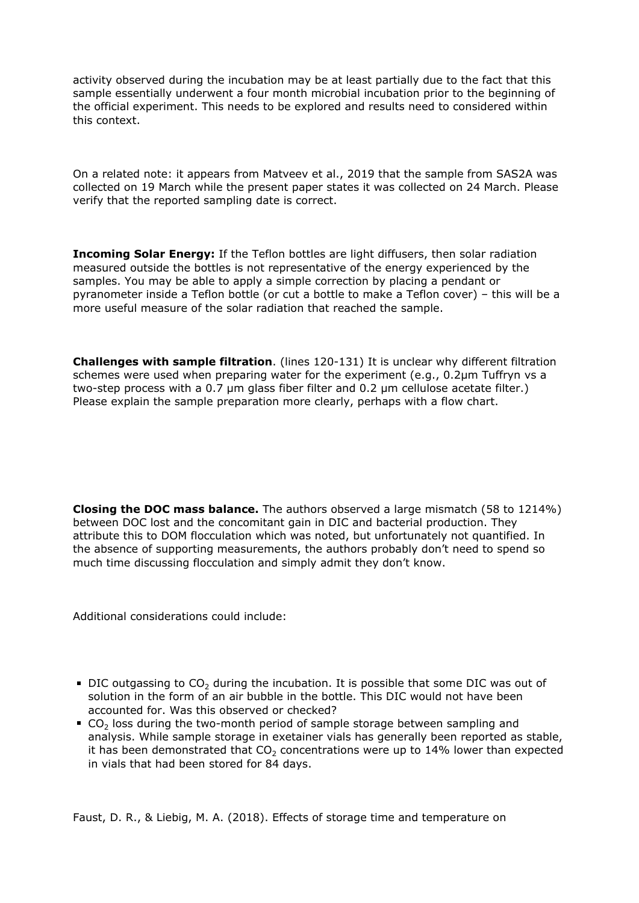activity observed during the incubation may be at least partially due to the fact that this sample essentially underwent a four month microbial incubation prior to the beginning of the official experiment. This needs to be explored and results need to considered within this context.

On a related note: it appears from Matveev et al., 2019 that the sample from SAS2A was collected on 19 March while the present paper states it was collected on 24 March. Please verify that the reported sampling date is correct.

**Incoming Solar Energy:** If the Teflon bottles are light diffusers, then solar radiation measured outside the bottles is not representative of the energy experienced by the samples. You may be able to apply a simple correction by placing a pendant or pyranometer inside a Teflon bottle (or cut a bottle to make a Teflon cover) – this will be a more useful measure of the solar radiation that reached the sample.

**Challenges with sample filtration**. (lines 120-131) It is unclear why different filtration schemes were used when preparing water for the experiment (e.g., 0.2μm Tuffryn vs a two-step process with a 0.7 μm glass fiber filter and 0.2 μm cellulose acetate filter.) Please explain the sample preparation more clearly, perhaps with a flow chart.

**Closing the DOC mass balance.** The authors observed a large mismatch (58 to 1214%) between DOC lost and the concomitant gain in DIC and bacterial production. They attribute this to DOM flocculation which was noted, but unfortunately not quantified. In the absence of supporting measurements, the authors probably don't need to spend so much time discussing flocculation and simply admit they don't know.

Additional considerations could include:

- DIC outgassing to  $CO<sub>2</sub>$  during the incubation. It is possible that some DIC was out of solution in the form of an air bubble in the bottle. This DIC would not have been accounted for. Was this observed or checked?
- CO<sub>2</sub> loss during the two-month period of sample storage between sampling and analysis. While sample storage in exetainer vials has generally been reported as stable, it has been demonstrated that  $CO<sub>2</sub>$  concentrations were up to 14% lower than expected in vials that had been stored for 84 days.

Faust, D. R., & Liebig, M. A. (2018). Effects of storage time and temperature on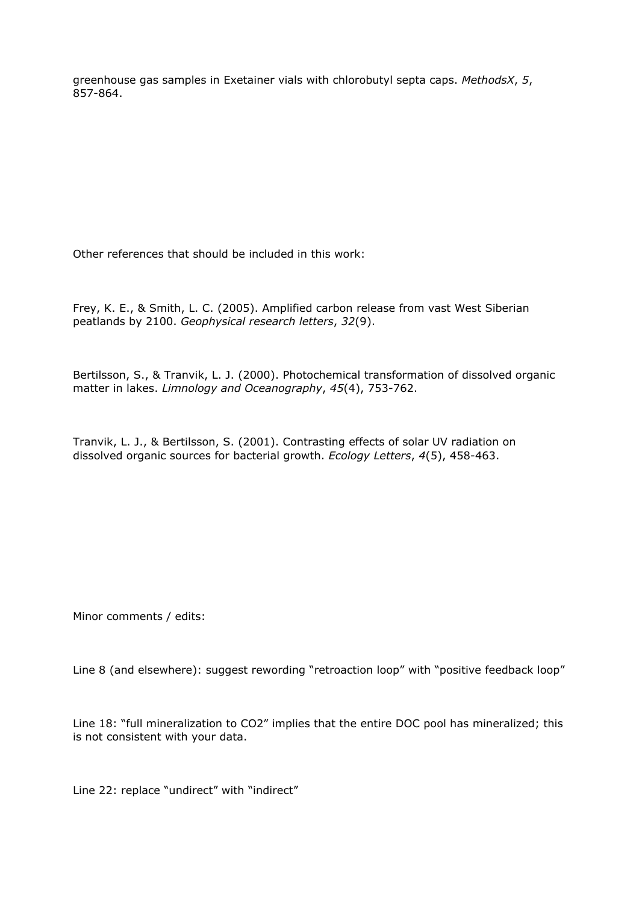greenhouse gas samples in Exetainer vials with chlorobutyl septa caps. *MethodsX*, *5*, 857-864.

Other references that should be included in this work:

Frey, K. E., & Smith, L. C. (2005). Amplified carbon release from vast West Siberian peatlands by 2100. *Geophysical research letters*, *32*(9).

Bertilsson, S., & Tranvik, L. J. (2000). Photochemical transformation of dissolved organic matter in lakes. *Limnology and Oceanography*, *45*(4), 753-762.

Tranvik, L. J., & Bertilsson, S. (2001). Contrasting effects of solar UV radiation on dissolved organic sources for bacterial growth. *Ecology Letters*, *4*(5), 458-463.

Minor comments / edits:

Line 8 (and elsewhere): suggest rewording "retroaction loop" with "positive feedback loop"

Line 18: "full mineralization to CO2" implies that the entire DOC pool has mineralized; this is not consistent with your data.

Line 22: replace "undirect" with "indirect"